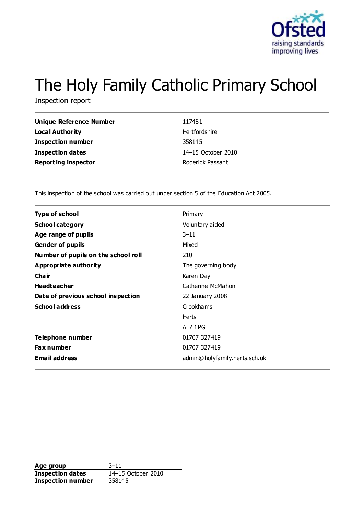

# The Holy Family Catholic Primary School

Inspection report

| Unique Reference Number    | 117481             |
|----------------------------|--------------------|
| <b>Local Authority</b>     | Hertfordshire      |
| <b>Inspection number</b>   | 358145             |
| Inspection dates           | 14–15 October 2010 |
| <b>Reporting inspector</b> | Roderick Passant   |

This inspection of the school was carried out under section 5 of the Education Act 2005.

| <b>Type of school</b>               | Primary                       |
|-------------------------------------|-------------------------------|
| <b>School category</b>              | Voluntary aided               |
| Age range of pupils                 | $3 - 11$                      |
| <b>Gender of pupils</b>             | Mixed                         |
| Number of pupils on the school roll | 210                           |
| Appropriate authority               | The governing body            |
| Cha ir                              | Karen Day                     |
| <b>Headteacher</b>                  | Catherine McMahon             |
| Date of previous school inspection  | 22 January 2008               |
| <b>School address</b>               | Crookhams                     |
|                                     | <b>Herts</b>                  |
|                                     | AL7 1PG                       |
| Telephone number                    | 01707 327419                  |
| <b>Fax number</b>                   | 01707 327419                  |
| <b>Email address</b>                | admin@holyfamily.herts.sch.uk |
|                                     |                               |

**Age group** 3-11<br> **Inspection dates** 14-15 October 2010 **Inspection dates Inspection number** 358145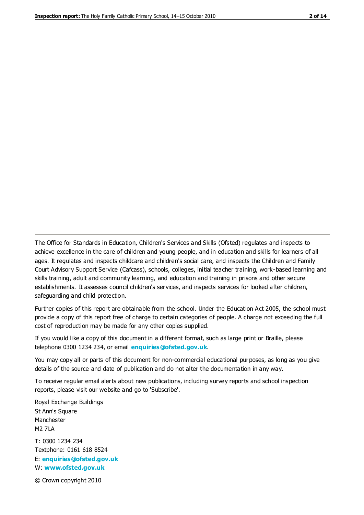The Office for Standards in Education, Children's Services and Skills (Ofsted) regulates and inspects to achieve excellence in the care of children and young people, and in education and skills for learners of all ages. It regulates and inspects childcare and children's social care, and inspects the Children and Family Court Advisory Support Service (Cafcass), schools, colleges, initial teacher training, work-based learning and skills training, adult and community learning, and education and training in prisons and other secure establishments. It assesses council children's services, and inspects services for looked after children, safeguarding and child protection.

Further copies of this report are obtainable from the school. Under the Education Act 2005, the school must provide a copy of this report free of charge to certain categories of people. A charge not exceeding the full cost of reproduction may be made for any other copies supplied.

If you would like a copy of this document in a different format, such as large print or Braille, please telephone 0300 1234 234, or email **[enquiries@ofsted.gov.uk](mailto:enquiries@ofsted.gov.uk)**.

You may copy all or parts of this document for non-commercial educational purposes, as long as you give details of the source and date of publication and do not alter the documentation in any way.

To receive regular email alerts about new publications, including survey reports and school inspection reports, please visit our website and go to 'Subscribe'.

Royal Exchange Buildings St Ann's Square Manchester M2 7LA T: 0300 1234 234 Textphone: 0161 618 8524 E: **[enquiries@ofsted.gov.uk](mailto:enquiries@ofsted.gov.uk)**

W: **[www.ofsted.gov.uk](http://www.ofsted.gov.uk/)**

© Crown copyright 2010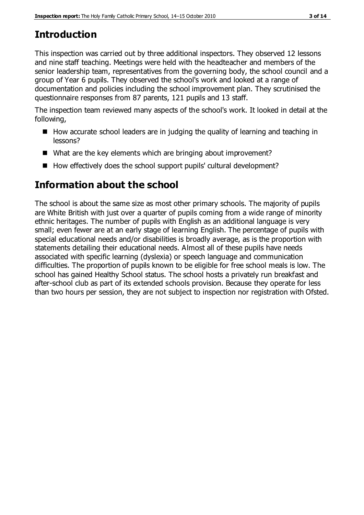# **Introduction**

This inspection was carried out by three additional inspectors. They observed 12 lessons and nine staff teaching. Meetings were held with the headteacher and members of the senior leadership team, representatives from the governing body, the school council and a group of Year 6 pupils. They observed the school's work and looked at a range of documentation and policies including the school improvement plan. They scrutinised the questionnaire responses from 87 parents, 121 pupils and 13 staff.

The inspection team reviewed many aspects of the school's work. It looked in detail at the following,

- How accurate school leaders are in judging the quality of learning and teaching in lessons?
- What are the key elements which are bringing about improvement?
- How effectively does the school support pupils' cultural development?

## **Information about the school**

The school is about the same size as most other primary schools. The majority of pupils are White British with just over a quarter of pupils coming from a wide range of minority ethnic heritages. The number of pupils with English as an additional language is very small; even fewer are at an early stage of learning English. The percentage of pupils with special educational needs and/or disabilities is broadly average, as is the proportion with statements detailing their educational needs. Almost all of these pupils have needs associated with specific learning (dyslexia) or speech language and communication difficulties. The proportion of pupils known to be eligible for free school meals is low. The school has gained Healthy School status. The school hosts a privately run breakfast and after-school club as part of its extended schools provision. Because they operate for less than two hours per session, they are not subject to inspection nor registration with Ofsted.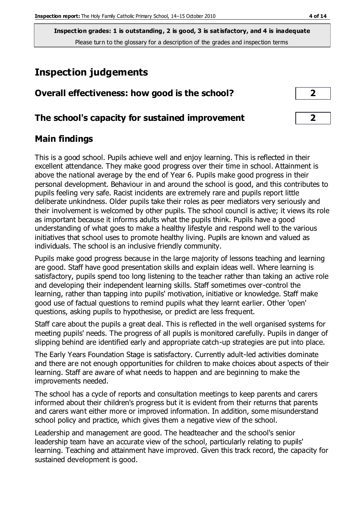**Inspection grades: 1 is outstanding, 2 is good, 3 is satisfactory, and 4 is inadequate** Please turn to the glossary for a description of the grades and inspection terms

# **Inspection judgements**

| Overall effectiveness: how good is the school?  |  |  |
|-------------------------------------------------|--|--|
|                                                 |  |  |
| The school's capacity for sustained improvement |  |  |

### **Main findings**

This is a good school. Pupils achieve well and enjoy learning. This is reflected in their excellent attendance. They make good progress over their time in school. Attainment is above the national average by the end of Year 6. Pupils make good progress in their personal development. Behaviour in and around the school is good, and this contributes to pupils feeling very safe. Racist incidents are extremely rare and pupils report little deliberate unkindness. Older pupils take their roles as peer mediators very seriously and their involvement is welcomed by other pupils. The school council is active; it views its role as important because it informs adults what the pupils think. Pupils have a good understanding of what goes to make a healthy lifestyle and respond well to the various initiatives that school uses to promote healthy living. Pupils are known and valued as individuals. The school is an inclusive friendly community.

Pupils make good progress because in the large majority of lessons teaching and learning are good. Staff have good presentation skills and explain ideas well. Where learning is satisfactory, pupils spend too long listening to the teacher rather than taking an active role and developing their independent learning skills. Staff sometimes over-control the learning, rather than tapping into pupils' motivation, initiative or knowledge. Staff make good use of factual questions to remind pupils what they learnt earlier. Other 'open' questions, asking pupils to hypothesise, or predict are less frequent.

Staff care about the pupils a great deal. This is reflected in the well organised systems for meeting pupils' needs. The progress of all pupils is monitored carefully. Pupils in danger of slipping behind are identified early and appropriate catch-up strategies are put into place.

The Early Years Foundation Stage is satisfactory. Currently adult-led activities dominate and there are not enough opportunities for children to make choices about aspects of their learning. Staff are aware of what needs to happen and are beginning to make the improvements needed.

The school has a cycle of reports and consultation meetings to keep parents and carers informed about their children's progress but it is evident from their returns that parents and carers want either more or improved information. In addition, some misunderstand school policy and practice, which gives them a negative view of the school.

Leadership and management are good. The headteacher and the school's senior leadership team have an accurate view of the school, particularly relating to pupils' learning. Teaching and attainment have improved. Given this track record, the capacity for sustained development is good.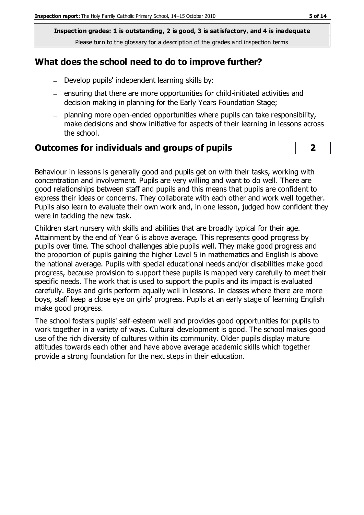**Inspection grades: 1 is outstanding, 2 is good, 3 is satisfactory, and 4 is inadequate** Please turn to the glossary for a description of the grades and inspection terms

#### **What does the school need to do to improve further?**

- Develop pupils' independent learning skills by:
- $-$  ensuring that there are more opportunities for child-initiated activities and decision making in planning for the Early Years Foundation Stage;
- planning more open-ended opportunities where pupils can take responsibility, make decisions and show initiative for aspects of their learning in lessons across the school.

#### **Outcomes for individuals and groups of pupils 2**

Behaviour in lessons is generally good and pupils get on with their tasks, working with concentration and involvement. Pupils are very willing and want to do well. There are good relationships between staff and pupils and this means that pupils are confident to express their ideas or concerns. They collaborate with each other and work well together. Pupils also learn to evaluate their own work and, in one lesson, judged how confident they were in tackling the new task.

Children start nursery with skills and abilities that are broadly typical for their age. Attainment by the end of Year 6 is above average. This represents good progress by pupils over time. The school challenges able pupils well. They make good progress and the proportion of pupils gaining the higher Level 5 in mathematics and English is above the national average. Pupils with special educational needs and/or disabilities make good progress, because provision to support these pupils is mapped very carefully to meet their specific needs. The work that is used to support the pupils and its impact is evaluated carefully. Boys and girls perform equally well in lessons. In classes where there are more boys, staff keep a close eye on girls' progress. Pupils at an early stage of learning English make good progress.

The school fosters pupils' self-esteem well and provides good opportunities for pupils to work together in a variety of ways. Cultural development is good. The school makes good use of the rich diversity of cultures within its community. Older pupils display mature attitudes towards each other and have above average academic skills which together provide a strong foundation for the next steps in their education.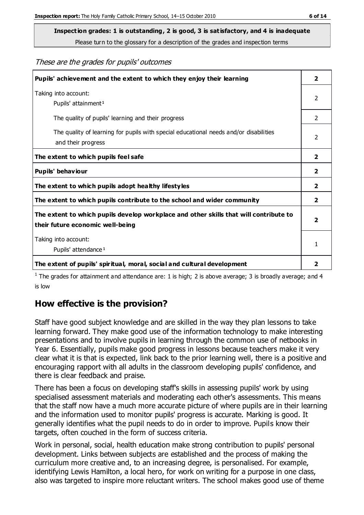**Inspection grades: 1 is outstanding, 2 is good, 3 is satisfactory, and 4 is inadequate**

Please turn to the glossary for a description of the grades and inspection terms

These are the grades for pupils' outcomes

| Pupils' achievement and the extent to which they enjoy their learning                                                     | $\overline{2}$ |
|---------------------------------------------------------------------------------------------------------------------------|----------------|
| Taking into account:<br>Pupils' attainment <sup>1</sup>                                                                   | 2              |
| The quality of pupils' learning and their progress                                                                        | $\mathcal{P}$  |
| The quality of learning for pupils with special educational needs and/or disabilities<br>and their progress               | $\overline{2}$ |
| The extent to which pupils feel safe                                                                                      | $\overline{2}$ |
| Pupils' behaviour                                                                                                         | 2              |
| The extent to which pupils adopt healthy lifestyles                                                                       | 2              |
| The extent to which pupils contribute to the school and wider community                                                   | $\overline{2}$ |
| The extent to which pupils develop workplace and other skills that will contribute to<br>their future economic well-being | $\overline{2}$ |
| Taking into account:<br>Pupils' attendance <sup>1</sup>                                                                   | 1              |
| The extent of pupils' spiritual, moral, social and cultural development                                                   | 2              |

<sup>1</sup> The grades for attainment and attendance are: 1 is high; 2 is above average; 3 is broadly average; and 4 is low

## **How effective is the provision?**

Staff have good subject knowledge and are skilled in the way they plan lessons to take learning forward. They make good use of the information technology to make interesting presentations and to involve pupils in learning through the common use of netbooks in Year 6. Essentially, pupils make good progress in lessons because teachers make it very clear what it is that is expected, link back to the prior learning well, there is a positive and encouraging rapport with all adults in the classroom developing pupils' confidence, and there is clear feedback and praise.

There has been a focus on developing staff's skills in assessing pupils' work by using specialised assessment materials and moderating each other's assessments. This means that the staff now have a much more accurate picture of where pupils are in their learning and the information used to monitor pupils' progress is accurate. Marking is good. It generally identifies what the pupil needs to do in order to improve. Pupils know their targets, often couched in the form of success criteria.

Work in personal, social, health education make strong contribution to pupils' personal development. Links between subjects are established and the process of making the curriculum more creative and, to an increasing degree, is personalised. For example, identifying Lewis Hamilton, a local hero, for work on writing for a purpose in one class, also was targeted to inspire more reluctant writers. The school makes good use of theme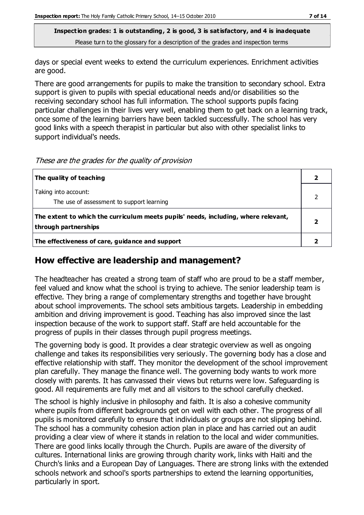**Inspection grades: 1 is outstanding, 2 is good, 3 is satisfactory, and 4 is inadequate** Please turn to the glossary for a description of the grades and inspection terms

days or special event weeks to extend the curriculum experiences. Enrichment activities are good.

There are good arrangements for pupils to make the transition to secondary school. Extra support is given to pupils with special educational needs and/or disabilities so the receiving secondary school has full information. The school supports pupils facing particular challenges in their lives very well, enabling them to get back on a learning track, once some of the learning barriers have been tackled successfully. The school has very good links with a speech therapist in particular but also with other specialist links to support individual's needs.

These are the grades for the quality of provision

| The quality of teaching                                                                                    |  |
|------------------------------------------------------------------------------------------------------------|--|
| Taking into account:<br>The use of assessment to support learning                                          |  |
| The extent to which the curriculum meets pupils' needs, including, where relevant,<br>through partnerships |  |
| The effectiveness of care, guidance and support                                                            |  |

#### **How effective are leadership and management?**

The headteacher has created a strong team of staff who are proud to be a staff member, feel valued and know what the school is trying to achieve. The senior leadership team is effective. They bring a range of complementary strengths and together have brought about school improvements. The school sets ambitious targets. Leadership in embedding ambition and driving improvement is good. Teaching has also improved since the last inspection because of the work to support staff. Staff are held accountable for the progress of pupils in their classes through pupil progress meetings.

The governing body is good. It provides a clear strategic overview as well as ongoing challenge and takes its responsibilities very seriously. The governing body has a close and effective relationship with staff. They monitor the development of the school improvement plan carefully. They manage the finance well. The governing body wants to work more closely with parents. It has canvassed their views but returns were low. Safeguarding is good. All requirements are fully met and all visitors to the school carefully checked.

The school is highly inclusive in philosophy and faith. It is also a cohesive community where pupils from different backgrounds get on well with each other. The progress of all pupils is monitored carefully to ensure that individuals or groups are not slipping behind. The school has a community cohesion action plan in place and has carried out an audit providing a clear view of where it stands in relation to the local and wider communities. There are good links locally through the Church. Pupils are aware of the diversity of cultures. International links are growing through charity work, links with Haiti and the Church's links and a European Day of Languages. There are strong links with the extended schools network and school's sports partnerships to extend the learning opportunities, particularly in sport.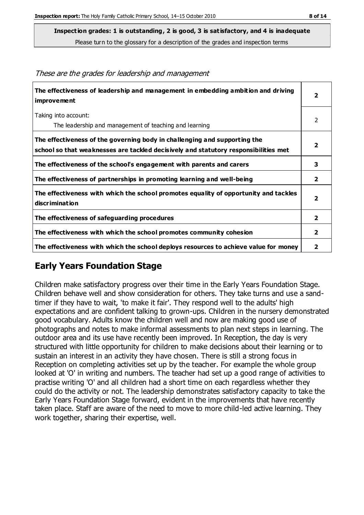**Inspection grades: 1 is outstanding, 2 is good, 3 is satisfactory, and 4 is inadequate**

Please turn to the glossary for a description of the grades and inspection terms

| The effectiveness of leadership and management in embedding ambition and driving<br><b>improvement</b>                                                           | $\overline{2}$          |
|------------------------------------------------------------------------------------------------------------------------------------------------------------------|-------------------------|
| Taking into account:<br>The leadership and management of teaching and learning                                                                                   | 2                       |
| The effectiveness of the governing body in challenging and supporting the<br>school so that weaknesses are tackled decisively and statutory responsibilities met | $\overline{2}$          |
| The effectiveness of the school's engagement with parents and carers                                                                                             | 3                       |
| The effectiveness of partnerships in promoting learning and well-being                                                                                           | $\overline{2}$          |
| The effectiveness with which the school promotes equality of opportunity and tackles<br>discrimination                                                           | $\overline{2}$          |
| The effectiveness of safeguarding procedures                                                                                                                     | $\overline{2}$          |
| The effectiveness with which the school promotes community cohesion                                                                                              | $\overline{2}$          |
| The effectiveness with which the school deploys resources to achieve value for money                                                                             | $\overline{\mathbf{2}}$ |

These are the grades for leadership and management

## **Early Years Foundation Stage**

Children make satisfactory progress over their time in the Early Years Foundation Stage. Children behave well and show consideration for others. They take turns and use a sandtimer if they have to wait, 'to make it fair'. They respond well to the adults' high expectations and are confident talking to grown-ups. Children in the nursery demonstrated good vocabulary. Adults know the children well and now are making good use of photographs and notes to make informal assessments to plan next steps in learning. The outdoor area and its use have recently been improved. In Reception, the day is very structured with little opportunity for children to make decisions about their learning or to sustain an interest in an activity they have chosen. There is still a strong focus in Reception on completing activities set up by the teacher. For example the whole group looked at 'O' in writing and numbers. The teacher had set up a good range of activities to practise writing 'O' and all children had a short time on each regardless whether they could do the activity or not. The leadership demonstrates satisfactory capacity to take the Early Years Foundation Stage forward, evident in the improvements that have recently taken place. Staff are aware of the need to move to more child-led active learning. They work together, sharing their expertise, well.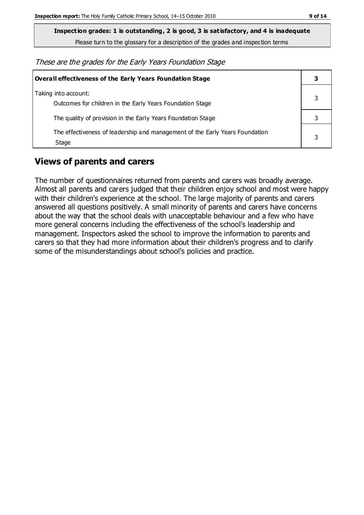**Inspection grades: 1 is outstanding, 2 is good, 3 is satisfactory, and 4 is inadequate**

Please turn to the glossary for a description of the grades and inspection terms

These are the grades for the Early Years Foundation Stage

| <b>Overall effectiveness of the Early Years Foundation Stage</b>                      |  |
|---------------------------------------------------------------------------------------|--|
| Taking into account:<br>Outcomes for children in the Early Years Foundation Stage     |  |
| The quality of provision in the Early Years Foundation Stage                          |  |
| The effectiveness of leadership and management of the Early Years Foundation<br>Stage |  |

### **Views of parents and carers**

The number of questionnaires returned from parents and carers was broadly average. Almost all parents and carers judged that their children enjoy school and most were happy with their children's experience at the school. The large majority of parents and carers answered all questions positively. A small minority of parents and carers have concerns about the way that the school deals with unacceptable behaviour and a few who have more general concerns including the effectiveness of the school's leadership and management. Inspectors asked the school to improve the information to parents and carers so that they had more information about their children's progress and to clarify some of the misunderstandings about school's policies and practice.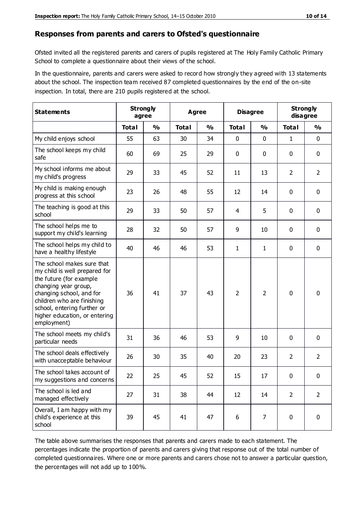#### **Responses from parents and carers to Ofsted's questionnaire**

Ofsted invited all the registered parents and carers of pupils registered at The Holy Family Catholic Primary School to complete a questionnaire about their views of the school.

In the questionnaire, parents and carers were asked to record how strongly they agreed with 13 statements about the school. The inspection team received 87 completed questionnaires by the end of the on-site inspection. In total, there are 210 pupils registered at the school.

| <b>Statements</b>                                                                                                                                                                                                                                       | <b>Strongly</b><br>agree |               | Agree        |               |                | <b>Disagree</b> | <b>Strongly</b> | disagree       |
|---------------------------------------------------------------------------------------------------------------------------------------------------------------------------------------------------------------------------------------------------------|--------------------------|---------------|--------------|---------------|----------------|-----------------|-----------------|----------------|
|                                                                                                                                                                                                                                                         | <b>Total</b>             | $\frac{0}{0}$ | <b>Total</b> | $\frac{0}{0}$ | <b>Total</b>   | $\frac{0}{0}$   | <b>Total</b>    | $\frac{0}{0}$  |
| My child enjoys school                                                                                                                                                                                                                                  | 55                       | 63            | 30           | 34            | 0              | $\mathbf 0$     | 1               | $\mathbf 0$    |
| The school keeps my child<br>safe                                                                                                                                                                                                                       | 60                       | 69            | 25           | 29            | 0              | $\mathbf 0$     | 0               | $\pmb{0}$      |
| My school informs me about<br>my child's progress                                                                                                                                                                                                       | 29                       | 33            | 45           | 52            | 11             | 13              | $\overline{2}$  | $\overline{2}$ |
| My child is making enough<br>progress at this school                                                                                                                                                                                                    | 23                       | 26            | 48           | 55            | 12             | 14              | 0               | $\mathbf 0$    |
| The teaching is good at this<br>school                                                                                                                                                                                                                  | 29                       | 33            | 50           | 57            | 4              | 5               | 0               | 0              |
| The school helps me to<br>support my child's learning                                                                                                                                                                                                   | 28                       | 32            | 50           | 57            | 9              | 10              | 0               | $\mathbf 0$    |
| The school helps my child to<br>have a healthy lifestyle                                                                                                                                                                                                | 40                       | 46            | 46           | 53            | $\mathbf{1}$   | 1               | 0               | 0              |
| The school makes sure that<br>my child is well prepared for<br>the future (for example<br>changing year group,<br>changing school, and for<br>children who are finishing<br>school, entering further or<br>higher education, or entering<br>employment) | 36                       | 41            | 37           | 43            | $\overline{2}$ | 2               | $\mathbf 0$     | $\mathbf 0$    |
| The school meets my child's<br>particular needs                                                                                                                                                                                                         | 31                       | 36            | 46           | 53            | 9              | 10              | $\mathbf 0$     | $\mathbf 0$    |
| The school deals effectively<br>with unacceptable behaviour                                                                                                                                                                                             | 26                       | 30            | 35           | 40            | 20             | 23              | $\overline{2}$  | $\overline{2}$ |
| The school takes account of<br>my suggestions and concerns                                                                                                                                                                                              | 22                       | 25            | 45           | 52            | 15             | 17              | 0               | 0              |
| The school is led and<br>managed effectively                                                                                                                                                                                                            | 27                       | 31            | 38           | 44            | 12             | 14              | $\overline{2}$  | $\overline{2}$ |
| Overall, I am happy with my<br>child's experience at this<br>school                                                                                                                                                                                     | 39                       | 45            | 41           | 47            | $6\,$          | 7               | $\mathbf 0$     | $\pmb{0}$      |

The table above summarises the responses that parents and carers made to each statement. The percentages indicate the proportion of parents and carers giving that response out of the total number of completed questionnaires. Where one or more parents and carers chose not to answer a particular question, the percentages will not add up to 100%.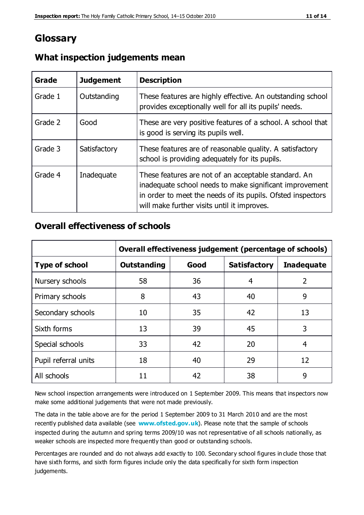## **Glossary**

| Grade   | <b>Judgement</b> | <b>Description</b>                                                                                                                                                                                                            |
|---------|------------------|-------------------------------------------------------------------------------------------------------------------------------------------------------------------------------------------------------------------------------|
| Grade 1 | Outstanding      | These features are highly effective. An outstanding school<br>provides exceptionally well for all its pupils' needs.                                                                                                          |
| Grade 2 | Good             | These are very positive features of a school. A school that<br>is good is serving its pupils well.                                                                                                                            |
| Grade 3 | Satisfactory     | These features are of reasonable quality. A satisfactory<br>school is providing adequately for its pupils.                                                                                                                    |
| Grade 4 | Inadequate       | These features are not of an acceptable standard. An<br>inadequate school needs to make significant improvement<br>in order to meet the needs of its pupils. Ofsted inspectors<br>will make further visits until it improves. |

### **What inspection judgements mean**

### **Overall effectiveness of schools**

|                       | Overall effectiveness judgement (percentage of schools) |      |                     |                   |
|-----------------------|---------------------------------------------------------|------|---------------------|-------------------|
| <b>Type of school</b> | <b>Outstanding</b>                                      | Good | <b>Satisfactory</b> | <b>Inadequate</b> |
| Nursery schools       | 58                                                      | 36   | 4                   | 2                 |
| Primary schools       | 8                                                       | 43   | 40                  | 9                 |
| Secondary schools     | 10                                                      | 35   | 42                  | 13                |
| Sixth forms           | 13                                                      | 39   | 45                  | 3                 |
| Special schools       | 33                                                      | 42   | 20                  | 4                 |
| Pupil referral units  | 18                                                      | 40   | 29                  | 12                |
| All schools           | 11                                                      | 42   | 38                  | 9                 |

New school inspection arrangements were introduced on 1 September 2009. This means that inspectors now make some additional judgements that were not made previously.

The data in the table above are for the period 1 September 2009 to 31 March 2010 and are the most recently published data available (see **[www.ofsted.gov.uk](http://www.ofsted.gov.uk/)**). Please note that the sample of schools inspected during the autumn and spring terms 2009/10 was not representative of all schools nationally, as weaker schools are inspected more frequently than good or outstanding schools.

Percentages are rounded and do not always add exactly to 100. Secondary school figures in clude those that have sixth forms, and sixth form figures include only the data specifically for sixth form inspection judgements.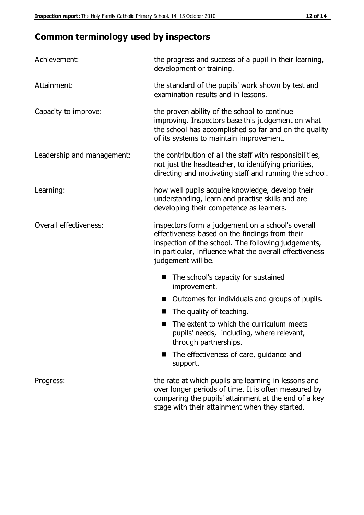# **Common terminology used by inspectors**

| Achievement:               | the progress and success of a pupil in their learning,<br>development or training.                                                                                                                                                          |  |  |
|----------------------------|---------------------------------------------------------------------------------------------------------------------------------------------------------------------------------------------------------------------------------------------|--|--|
| Attainment:                | the standard of the pupils' work shown by test and<br>examination results and in lessons.                                                                                                                                                   |  |  |
| Capacity to improve:       | the proven ability of the school to continue<br>improving. Inspectors base this judgement on what<br>the school has accomplished so far and on the quality<br>of its systems to maintain improvement.                                       |  |  |
| Leadership and management: | the contribution of all the staff with responsibilities,<br>not just the headteacher, to identifying priorities,<br>directing and motivating staff and running the school.                                                                  |  |  |
| Learning:                  | how well pupils acquire knowledge, develop their<br>understanding, learn and practise skills and are<br>developing their competence as learners.                                                                                            |  |  |
| Overall effectiveness:     | inspectors form a judgement on a school's overall<br>effectiveness based on the findings from their<br>inspection of the school. The following judgements,<br>in particular, influence what the overall effectiveness<br>judgement will be. |  |  |
|                            | The school's capacity for sustained<br>improvement.                                                                                                                                                                                         |  |  |
|                            | Outcomes for individuals and groups of pupils.                                                                                                                                                                                              |  |  |
|                            | The quality of teaching.                                                                                                                                                                                                                    |  |  |
|                            | The extent to which the curriculum meets<br>pupils' needs, including, where relevant,<br>through partnerships.                                                                                                                              |  |  |
|                            | The effectiveness of care, guidance and<br>support.                                                                                                                                                                                         |  |  |
| Progress:                  | the rate at which pupils are learning in lessons and<br>over longer periods of time. It is often measured by<br>comparing the pupils' attainment at the end of a key                                                                        |  |  |

stage with their attainment when they started.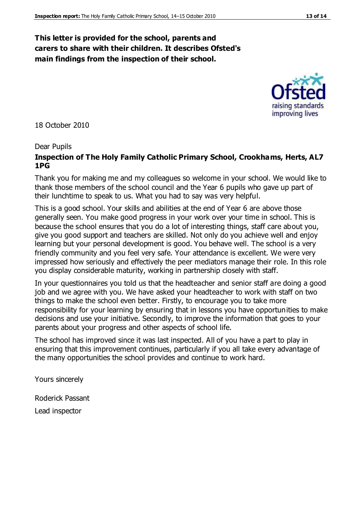#### **This letter is provided for the school, parents and carers to share with their children. It describes Ofsted's main findings from the inspection of their school.**

18 October 2010

#### Dear Pupils

#### **Inspection of The Holy Family Catholic Primary School, Crookhams, Herts, AL7 1PG**

Thank you for making me and my colleagues so welcome in your school. We would like to thank those members of the school council and the Year 6 pupils who gave up part of their lunchtime to speak to us. What you had to say was very helpful.

This is a good school. Your skills and abilities at the end of Year 6 are above those generally seen. You make good progress in your work over your time in school. This is because the school ensures that you do a lot of interesting things, staff care about you, give you good support and teachers are skilled. Not only do you achieve well and enjoy learning but your personal development is good. You behave well. The school is a very friendly community and you feel very safe. Your attendance is excellent. We were very impressed how seriously and effectively the peer mediators manage their role. In this role you display considerable maturity, working in partnership closely with staff.

In your questionnaires you told us that the headteacher and senior staff are doing a good job and we agree with you. We have asked your headteacher to work with staff on two things to make the school even better. Firstly, to encourage you to take more responsibility for your learning by ensuring that in lessons you have opportunities to make decisions and use your initiative. Secondly, to improve the information that goes to your parents about your progress and other aspects of school life.

The school has improved since it was last inspected. All of you have a part to play in ensuring that this improvement continues, particularly if you all take every advantage of the many opportunities the school provides and continue to work hard.

Yours sincerely

Roderick Passant

Lead inspector